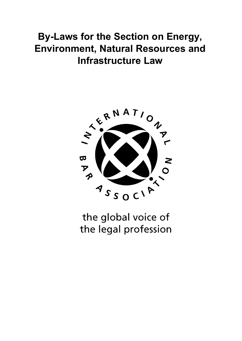# **By-Laws for the Section on Energy, Environment, Natural Resources and Infrastructure Law**



the global voice of the legal profession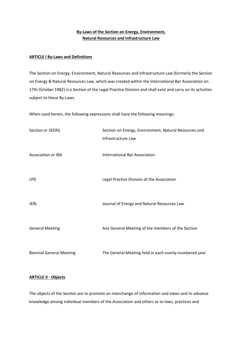# **By-Laws of the Section on Energy, Environment, Natural Resources and Infrastructure Law**

## **ARTICLE I By-Laws and Definitions**

The Section on Energy, Environment, Natural Resources and Infrastructure Law (formerly the Section on Energy & Natural Resources Law, which was created within the International Bar Association on 17th October 1982) is a Section of the Legal Practice Division and shall exist and carry on its activities subject to these By-Laws.

When used herein, the following expressions shall have the following meanings:

| Section or SEERIL               | Section on Energy, Environment, Natural Resources and<br>Infrastructure Law |
|---------------------------------|-----------------------------------------------------------------------------|
| <b>Association or IBA</b>       | <b>International Bar Association</b>                                        |
| <b>LPD</b>                      | Legal Practice Division of the Association                                  |
| <b>JERL</b>                     | Journal of Energy and Natural Resources Law                                 |
| <b>General Meeting</b>          | Any General Meeting of the members of the Section                           |
| <b>Biennial General Meeting</b> | The General Meeting held in each evenly-numbered year                       |

# **ARTICLE II - Objects**

The objects of the Section are to promote an interchange of information and views and to advance knowledge among individual members of the Association and others as to laws, practices and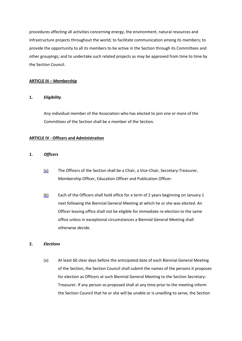procedures affecting all activities concerning energy, the environment, natural resources and infrastructure projects throughout the world; to facilitate communication among its members; to provide the opportunity to all its members to be active in the Section through its Committees and other groupings; and to undertake such related projects as may be approved from time to time by the Section Council.

## **ARTICLE III – Membership**

#### **1.** *Eligibility*

Any individual member of the Association who has elected to join one or more of the Committees of the Section shall be a member of the Section.

#### **ARTICLE IV - Officers and Administration**

#### **1.** *Officers*

- (a) The Officers of the Section shall be a Chair, a Vice-Chair, Secretary-Treasurer, Membership Officer, Education Officer and Publication Officer.
- (b) Each of the Officers shall hold office for a term of 2 years beginning on January 1 next following the Biennial General Meeting at which he or she was elected. An Officer leaving office shall not be eligible for immediate re-election to the same office unless in exceptional circumstances a Biennial General Meeting shall otherwise decide.

#### **2.** *Elections*

(a) At least 60 clear days before the anticipated date of each Biennial General Meeting of the Section, the Section Council shall submit the names of the persons it proposes for election as Officers at such Biennial General Meeting to the Section Secretary-Treasurer. If any person so proposed shall at any time prior to the meeting inform the Section Council that he or she will be unable or is unwilling to serve, the Section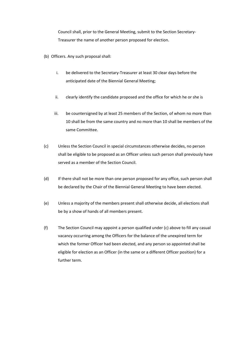Council shall, prior to the General Meeting, submit to the Section Secretary-Treasurer the name of another person proposed for election.

- (b) Officers. Any such proposal shall:
	- i. be delivered to the Secretary-Treasurer at least 30 clear days before the anticipated date of the Biennial General Meeting;
	- ii. clearly identify the candidate proposed and the office for which he or she is
	- iii. be countersigned by at least 25 members of the Section, of whom no more than 10 shall be from the same country and no more than 10 shall be members of the same Committee.
- (c) Unless the Section Council in special circumstances otherwise decides, no person shall be eligible to be proposed as an Officer unless such person shall previously have served as a member of the Section Council.
- (d) If there shall not be more than one person proposed for any office, such person shall be declared by the Chair of the Biennial General Meeting to have been elected.
- (e) Unless a majority of the members present shall otherwise decide, all elections shall be by a show of hands of all members present.
- (f) The Section Council may appoint a person qualified under (c) above to fill any casual vacancy occurring among the Officers for the balance of the unexpired term for which the former Officer had been elected, and any person so appointed shall be eligible for election as an Officer (in the same or a different Officer position) for a further term.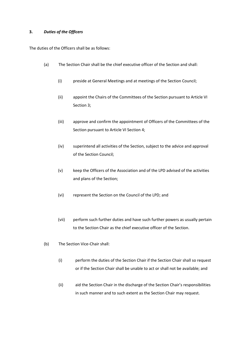## **3.** *Duties of the Officers*

The duties of the Officers shall be as follows:

- (a) The Section Chair shall be the chief executive officer of the Section and shall:
	- (i) preside at General Meetings and at meetings of the Section Council;
	- (ii) appoint the Chairs of the Committees of the Section pursuant to Article VI Section 3;
	- (iii) approve and confirm the appointment of Officers of the Committees of the Section pursuant to Article VI Section 4;
	- (iv) superintend all activities of the Section, subject to the advice and approval of the Section Council;
	- (v) keep the Officers of the Association and of the LPD advised of the activities and plans of the Section;
	- (vi) represent the Section on the Council of the LPD; and
	- (vii) perform such further duties and have such further powers as usually pertain to the Section Chair as the chief executive officer of the Section.
- (b) The Section Vice-Chair shall:
	- (i) perform the duties of the Section Chair if the Section Chair shall so request or if the Section Chair shall be unable to act or shall not be available; and
	- (ii) aid the Section Chair in the discharge of the Section Chair's responsibilities in such manner and to such extent as the Section Chair may request.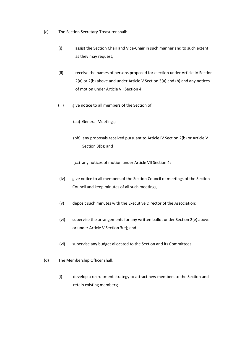- (c) The Section Secretary-Treasurer shall:
	- (i) assist the Section Chair and Vice-Chair in such manner and to such extent as they may request;
	- (ii) receive the names of persons proposed for election under Article IV Section 2(a) or 2(b) above and under Article V Section 3(a) and (b) and any notices of motion under Article VII Section 4;
	- (iii) give notice to all members of the Section of:
		- (aa) General Meetings;
		- (bb) any proposals received pursuant to Article IV Section 2(b) or Article V Section 3(b); and
		- (cc) any notices of motion under Article VII Section 4;
	- (iv) give notice to all members of the Section Council of meetings of the Section Council and keep minutes of all such meetings;
	- (v) deposit such minutes with the Executive Director of the Association;
	- (vi) supervise the arrangements for any written ballot under Section 2(e) above or under Article V Section 3(e); and
	- (vi) supervise any budget allocated to the Section and its Committees.
- (d) The Membership Officer shall:
	- (i) develop a recruitment strategy to attract new members to the Section and retain existing members;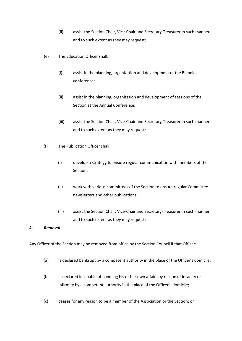- (ii) assist the Section Chair, Vice-Chair and Secretary-Treasurer in such manner and to such extent as they may request;
- (e) The Education Officer shall:
	- (i) assist in the planning, organization and development of the Biennial conference;
	- (ii) assist in the planning, organization and development of sessions of the Section at the Annual Conference;
	- (iii) assist the Section Chair, Vice-Chair and Secretary-Treasurer in such manner and to such extent as they may request;
- (f) The Publication Officer shall:
	- (i) develop a strategy to ensure regular communication with members of the Section;
	- (ii) work with various committees of the Section to ensure regular Committee newsletters and other publications;
	- (iii) assist the Section Chair, Vice-Chair and Secretary-Treasurer in such manner and to such extent as they may request;

# **4.** *Removal*

Any Officer of the Section may be removed from office by the Section Council if that Officer:

- (a) is declared bankrupt by a competent authority in the place of the Officer's domicile;
- (b) is declared incapable of handling his or her own affairs by reason of insanity or infirmity by a competent authority in the place of the Officer's domicile;
- (c) ceases for any reason to be a member of the Association or the Section; or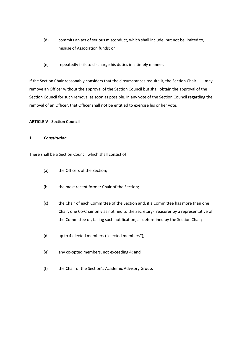- (d) commits an act of serious misconduct, which shall include, but not be limited to, misuse of Association funds; or
- (e) repeatedly fails to discharge his duties in a timely manner.

If the Section Chair reasonably considers that the circumstances require it, the Section Chair may remove an Officer without the approval of the Section Council but shall obtain the approval of the Section Council for such removal as soon as possible. In any vote of the Section Council regarding the removal of an Officer, that Officer shall not be entitled to exercise his or her vote.

## **ARTICLE V - Section Council**

## **1.** *Constitution*

There shall be a Section Council which shall consist of

- (a) the Officers of the Section;
- (b) the most recent former Chair of the Section;
- (c) the Chair of each Committee of the Section and, if a Committee has more than one Chair, one Co-Chair only as notified to the Secretary-Treasurer by a representative of the Committee or, failing such notification, as determined by the Section Chair;
- (d) up to 4 elected members ("elected members");
- (e) any co-opted members, not exceeding 4; and
- (f) the Chair of the Section's Academic Advisory Group.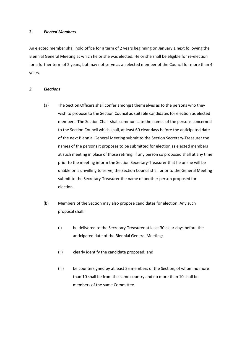#### **2.** *Elected Members*

An elected member shall hold office for a term of 2 years beginning on January 1 next following the Biennial General Meeting at which he or she was elected. He or she shall be eligible for re-election for a further term of 2 years, but may not serve as an elected member of the Council for more than 4 years.

#### *3. Elections*

- (a) The Section Officers shall confer amongst themselves as to the persons who they wish to propose to the Section Council as suitable candidates for election as elected members. The Section Chair shall communicate the names of the persons concerned to the Section Council which shall, at least 60 clear days before the anticipated date of the next Biennial General Meeting submit to the Section Secretary-Treasurer the names of the persons it proposes to be submitted for election as elected members at such meeting in place of those retiring. If any person so proposed shall at any time prior to the meeting inform the Section Secretary-Treasurer that he or she will be unable or is unwilling to serve, the Section Council shall prior to the General Meeting submit to the Secretary-Treasurer the name of another person proposed for election.
- (b) Members of the Section may also propose candidates for election. Any such proposal shall:
	- (i) be delivered to the Secretary-Treasurer at least 30 clear days before the anticipated date of the Biennial General Meeting;
	- (ii) clearly identify the candidate proposed; and
	- (iii) be countersigned by at least 25 members of the Section, of whom no more than 10 shall be from the same country and no more than 10 shall be members of the same Committee.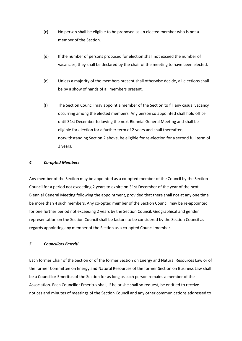- (c) No person shall be eligible to be proposed as an elected member who is not a member of the Section.
- (d) If the number of persons proposed for election shall not exceed the number of vacancies, they shall be declared by the chair of the meeting to have been elected.
- (e) Unless a majority of the members present shall otherwise decide, all elections shall be by a show of hands of all members present.
- (f) The Section Council may appoint a member of the Section to fill any casual vacancy occurring among the elected members. Any person so appointed shall hold office until 31st December following the next Biennial General Meeting and shall be eligible for election for a further term of 2 years and shall thereafter, notwithstanding Section 2 above, be eligible for re-election for a second full term of 2 years.

## *4. Co-opted Members*

Any member of the Section may be appointed as a co-opted member of the Council by the Section Council for a period not exceeding 2 years to expire on 31st December of the year of the next Biennial General Meeting following the appointment, provided that there shall not at any one time be more than 4 such members. Any co-opted member of the Section Council may be re-appointed for one further period not exceeding 2 years by the Section Council. Geographical and gender representation on the Section Council shall be factors to be considered by the Section Council as regards appointing any member of the Section as a co-opted Council member.

## *5. Councillors Emeriti*

Each former Chair of the Section or of the former Section on Energy and Natural Resources Law or of the former Committee on Energy and Natural Resources of the former Section on Business Law shall be a Councillor Emeritus of the Section for as long as such person remains a member of the Association. Each Councillor Emeritus shall, if he or she shall so request, be entitled to receive notices and minutes of meetings of the Section Council and any other communications addressed to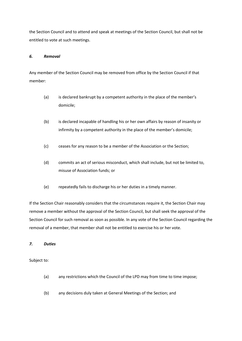the Section Council and to attend and speak at meetings of the Section Council, but shall not be entitled to vote at such meetings.

## *6. Removal*

Any member of the Section Council may be removed from office by the Section Council if that member:

- (a) is declared bankrupt by a competent authority in the place of the member's domicile;
- (b) is declared incapable of handling his or her own affairs by reason of insanity or infirmity by a competent authority in the place of the member's domicile;
- (c) ceases for any reason to be a member of the Association or the Section;
- (d) commits an act of serious misconduct, which shall include, but not be limited to, misuse of Association funds; or
- (e) repeatedly fails to discharge his or her duties in a timely manner.

If the Section Chair reasonably considers that the circumstances require it, the Section Chair may remove a member without the approval of the Section Council, but shall seek the approval of the Section Council for such removal as soon as possible. In any vote of the Section Council regarding the removal of a member, that member shall not be entitled to exercise his or her vote.

## *7. Duties*

Subject to:

- (a) any restrictions which the Council of the LPD may from time to time impose;
- (b) any decisions duly taken at General Meetings of the Section; and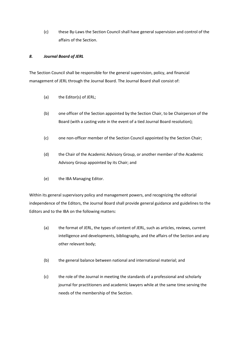(c) these By-Laws the Section Council shall have general supervision and control of the affairs of the Section.

## *8. Journal Board of JERL*

The Section Council shall be responsible for the general supervision, policy, and financial management of JERL through the Journal Board. The Journal Board shall consist of:

- (a) the Editor(s) of JERL;
- (b) one officer of the Section appointed by the Section Chair, to be Chairperson of the Board (with a casting vote in the event of a tied Journal Board resolution);
- (c) one non-officer member of the Section Council appointed by the Section Chair;
- (d) the Chair of the Academic Advisory Group, or another member of the Academic Advisory Group appointed by its Chair; and
- (e) the IBA Managing Editor.

Within its general supervisory policy and management powers, and recognizing the editorial independence of the Editors, the Journal Board shall provide general guidance and guidelines to the Editors and to the IBA on the following matters:

- (a) the format of JERL, the types of content of JERL, such as articles, reviews, current intelligence and developments, bibliography, and the affairs of the Section and any other relevant body;
- (b) the general balance between national and international material; and
- (c) the role of the Journal in meeting the standards of a professional and scholarly journal for practitioners and academic lawyers while at the same time serving the needs of the membership of the Section.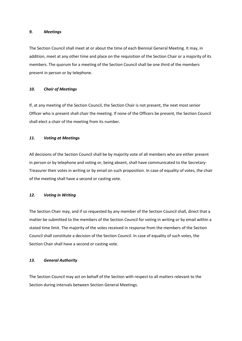#### *9. Meetings*

The Section Council shall meet at or about the time of each Biennial General Meeting. It may, in addition, meet at any other time and place on the requisition of the Section Chair or a majority of its members. The quorum for a meeting of the Section Council shall be one third of the members present in person or by telephone.

#### *10. Chair of Meetings*

If, at any meeting of the Section Council, the Section Chair is not present, the next most senior Officer who is present shall chair the meeting. If none of the Officers be present, the Section Council shall elect a chair of the meeting from its number.

#### *11. Voting at Meetings*

All decisions of the Section Council shall be by majority vote of all members who are either present in person or by telephone and voting or, being absent, shall have communicated to the Secretary-Treasurer their votes in writing or by email on such proposition. In case of equality of votes, the chair of the meeting shall have a second or casting vote.

## *12. Voting in Writing*

The Section Chair may, and if so requested by any member of the Section Council shall, direct that a matter be submitted to the members of the Section Council for voting in writing or by email within a stated time limit. The majority of the votes received in response from the members of the Section Council shall constitute a decision of the Section Council. In case of equality of such votes, the Section Chair shall have a second or casting vote.

#### *13. General Authority*

The Section Council may act on behalf of the Section with respect to all matters relevant to the Section during intervals between Section General Meetings.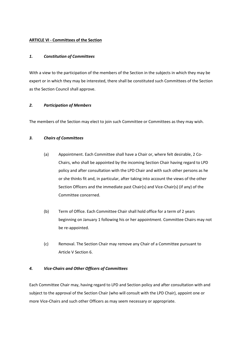## **ARTICLE VI - Committees of the Section**

## *1. Constitution of Committees*

With a view to the participation of the members of the Section in the subjects in which they may be expert or in which they may be interested, there shall be constituted such Committees of the Section as the Section Council shall approve.

## *2. Participation of Members*

The members of the Section may elect to join such Committee or Committees as they may wish.

## *3. Chairs of Committees*

- (a) Appointment. Each Committee shall have a Chair or, where felt desirable, 2 Co-Chairs, who shall be appointed by the incoming Section Chair having regard to LPD policy and after consultation with the LPD Chair and with such other persons as he or she thinks fit and, in particular, after taking into account the views of the other Section Officers and the immediate past Chair(s) and Vice-Chair(s) (if any) of the Committee concerned.
- (b) Term of Office. Each Committee Chair shall hold office for a term of 2 years beginning on January 1 following his or her appointment. Committee Chairs may not be re-appointed.
- (c) Removal. The Section Chair may remove any Chair of a Committee pursuant to Article V Section 6.

# *4. Vice-Chairs and Other Officers of Committees*

Each Committee Chair may, having regard to LPD and Section policy and after consultation with and subject to the approval of the Section Chair (who will consult with the LPD Chair), appoint one or more Vice-Chairs and such other Officers as may seem necessary or appropriate.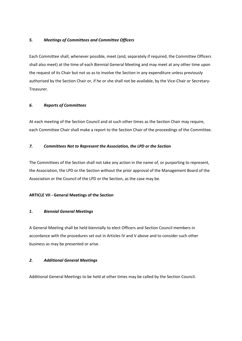# *5. Meetings of Committees and Committee Officers*

Each Committee shall, whenever possible, meet (and, separately if required, the Committee Officers shall also meet) at the time of each Biennial General Meeting and may meet at any other time upon the request of its Chair but not so as to involve the Section in any expenditure unless previously authorised by the Section Chair or, if he or she shall not be available, by the Vice-Chair or Secretary-Treasurer.

# *6. Reports of Committees*

At each meeting of the Section Council and at such other times as the Section Chair may require, each Committee Chair shall make a report to the Section Chair of the proceedings of the Committee.

# *7. Committees Not to Represent the Association, the LPD or the Section*

The Committees of the Section shall not take any action in the name of, or purporting to represent, the Association, the LPD or the Section without the prior approval of the Management Board of the Association or the Council of the LPD or the Section, as the case may be.

# **ARTICLE VII - General Meetings of the Section**

# *1. Biennial General Meetings*

A General Meeting shall be held biennially to elect Officers and Section Council members in accordance with the procedures set out in Articles IV and V above and to consider such other business as may be presented or arise.

# *2. Additional General Meetings*

Additional General Meetings to be held at other times may be called by the Section Council.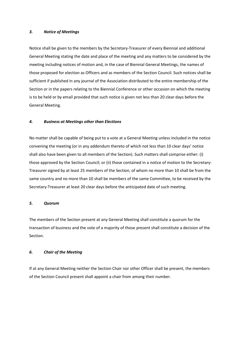#### *3. Notice of Meetings*

Notice shall be given to the members by the Secretary-Treasurer of every Biennial and additional General Meeting stating the date and place of the meeting and any matters to be considered by the meeting including notices of motion and, in the case of Biennial General Meetings, the names of those proposed for election as Officers and as members of the Section Council. Such notices shall be sufficient if published in any journal of the Association distributed to the entire membership of the Section or in the papers relating to the Biennial Conference or other occasion on which the meeting is to be held or by email provided that such notice is given not less than 20 clear days before the General Meeting.

#### *4. Business at Meetings other than Elections*

No matter shall be capable of being put to a vote at a General Meeting unless included in the notice convening the meeting (or in any addendum thereto of which not less than 10 clear days' notice shall also have been given to all members of the Section). Such matters shall comprise either: (i) those approved by the Section Council; or (ii) those contained in a notice of motion to the Secretary-Treasurer signed by at least 25 members of the Section, of whom no more than 10 shall be from the same country and no more than 10 shall be members of the same Committee, to be received by the Secretary-Treasurer at least 20 clear days before the anticipated date of such meeting.

#### *5. Quorum*

The members of the Section present at any General Meeting shall constitute a quorum for the transaction of business and the vote of a majority of those present shall constitute a decision of the Section.

## *6. Chair of the Meeting*

If at any General Meeting neither the Section Chair nor other Officer shall be present, the members of the Section Council present shall appoint a chair from among their number.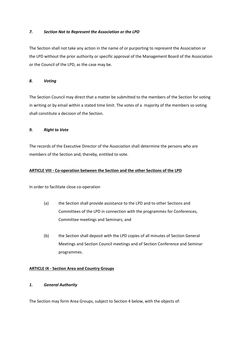## *7. Section Not to Represent the Association or the LPD*

The Section shall not take any action in the name of or purporting to represent the Association or the LPD without the prior authority or specific approval of the Management Board of the Association or the Council of the LPD, as the case may be.

# *8. Voting*

The Section Council may direct that a matter be submitted to the members of the Section for voting in writing or by email within a stated time limit. The votes of a majority of the members so voting shall constitute a decision of the Section.

## *9. Right to Vote*

The records of the Executive Director of the Association shall determine the persons who are members of the Section and, thereby, entitled to vote.

## **ARTICLE VIII - Co-operation between the Section and the other Sections of the LPD**

In order to facilitate close co-operation

- (a) the Section shall provide assistance to the LPD and to other Sections and Committees of the LPD in connection with the programmes for Conferences, Committee meetings and Seminars; and
- (b) the Section shall deposit with the LPD copies of all minutes of Section General Meetings and Section Council meetings and of Section Conference and Seminar programmes.

# **ARTICLE IX - Section Area and Country Groups**

## *1. General Authority*

The Section may form Area Groups, subject to Section 4 below, with the objects of: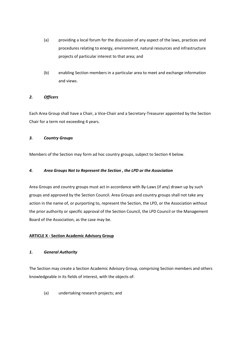- (a) providing a local forum for the discussion of any aspect of the laws, practices and procedures relating to energy, environment, natural resources and infrastructure projects of particular interest to that area; and
- (b) enabling Section members in a particular area to meet and exchange information and views.

# *2. Officers*

Each Area Group shall have a Chair, a Vice-Chair and a Secretary-Treasurer appointed by the Section Chair for a term not exceeding 4 years.

# *3. Country Groups*

Members of the Section may form ad hoc country groups, subject to Section 4 below.

# *4. Area Groups Not to Represent the Section , the LPD or the Association*

Area Groups and country groups must act in accordance with By-Laws (if any) drawn up by such groups and approved by the Section Council. Area Groups and country groups shall not take any action in the name of, or purporting to, represent the Section, the LPD, or the Association without the prior authority or specific approval of the Section Council, the LPD Council or the Management Board of the Association, as the case may be.

# **ARTICLE X - Section Academic Advisory Group**

# *1. General Authority*

The Section may create a Section Academic Advisory Group, comprising Section members and others knowledgeable in its fields of interest, with the objects of:

(a) undertaking research projects; and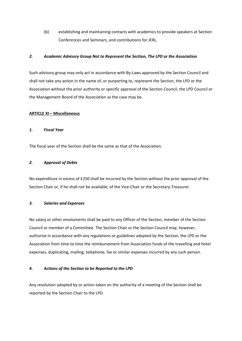(b) establishing and maintaining contacts with academics to provide speakers at Section Conferences and Seminars, and contributions for JERL.

## *2. Academic Advisory Group Not to Represent the Section, The LPD or the Association*

Such advisory group may only act in accordance with By-Laws approved by the Section Council and shall not take any action in the name of, or purporting to, represent the Section, the LPD or the Association without the prior authority or specific approval of the Section Council, the LPD Council or the Management Board of the Association as the case may be.

## **ARTICLE XI – Miscellaneous**

## *1. Fiscal Year*

The fiscal year of the Section shall be the same as that of the Association.

## *2. Approval of Debts*

No expenditure in excess of £250 shall be incurred by the Section without the prior approval of the Section Chair or, if he shall not be available, of the Vice-Chair or the Secretary-Treasurer.

## *3. Salaries and Expenses*

No salary or other emoluments shall be paid to any Officer of the Section, member of the Section Council or member of a Committee. The Section Chair or the Section Council may, however, authorise in accordance with any regulations or guidelines adopted by the Section, the LPD or the Association from time to time the reimbursement from Association funds of the travelling and hotel expenses, duplicating, mailing, telephone, fax or similar expenses incurred by any such person.

# *4. Actions of the Section to be Reported to the LPD*

Any resolution adopted by or action taken on the authority of a meeting of the Section shall be reported by the Section Chair to the LPD.